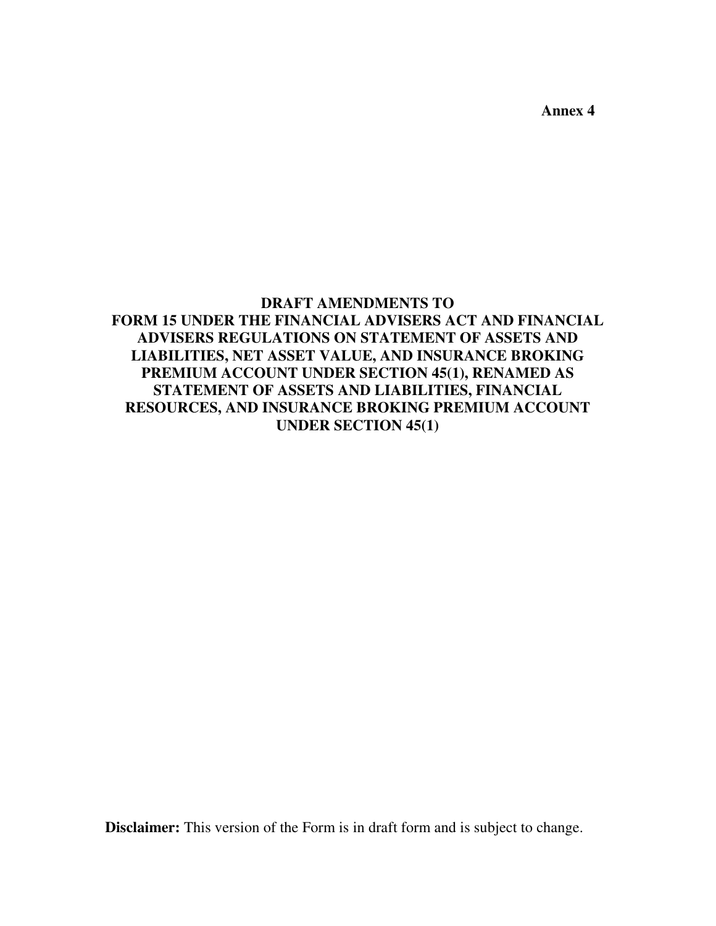**Annex 4** 

## **DRAFT AMENDMENTS TO FORM 15 UNDER THE FINANCIAL ADVISERS ACT AND FINANCIAL ADVISERS REGULATIONS ON STATEMENT OF ASSETS AND LIABILITIES, NET ASSET VALUE, AND INSURANCE BROKING PREMIUM ACCOUNT UNDER SECTION 45(1), RENAMED AS STATEMENT OF ASSETS AND LIABILITIES, FINANCIAL RESOURCES, AND INSURANCE BROKING PREMIUM ACCOUNT UNDER SECTION 45(1)**

**Disclaimer:** This version of the Form is in draft form and is subject to change.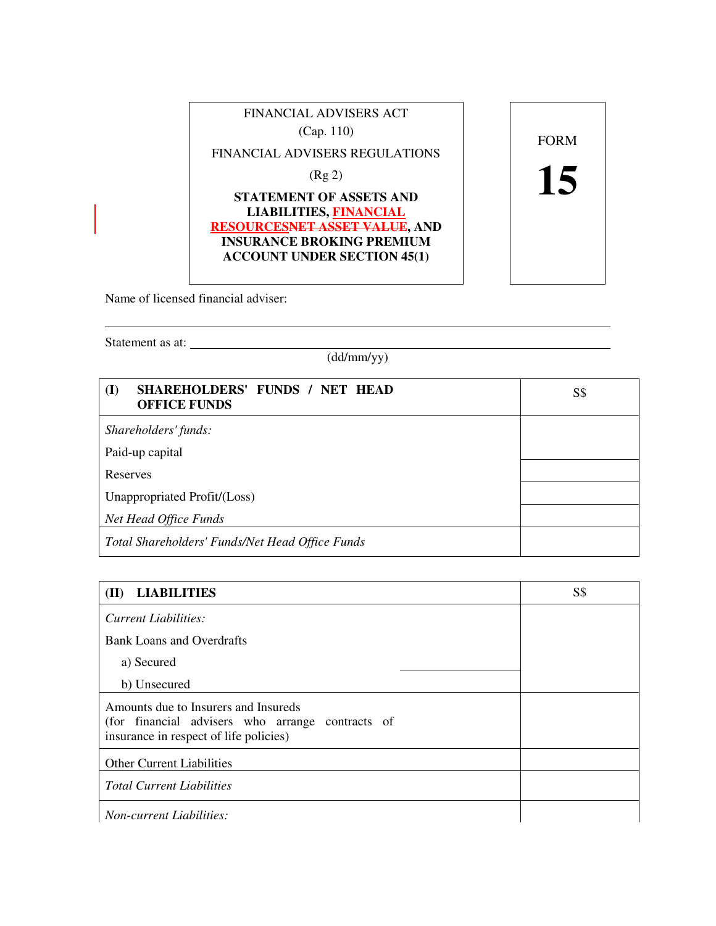

Name of licensed financial adviser:

Statement as at:

 $\overline{a}$ 

(dd/mm/yy)

| SHAREHOLDERS' FUNDS / NET HEAD<br>$\bf (I)$<br><b>OFFICE FUNDS</b> | S\$ |
|--------------------------------------------------------------------|-----|
| Shareholders' funds:                                               |     |
| Paid-up capital                                                    |     |
| Reserves                                                           |     |
| Unappropriated Profit/(Loss)                                       |     |
| Net Head Office Funds                                              |     |
| Total Shareholders' Funds/Net Head Office Funds                    |     |

| <b>LIABILITIES</b><br>(II)                                                                                                         | S\$ |
|------------------------------------------------------------------------------------------------------------------------------------|-----|
| Current Liabilities:                                                                                                               |     |
| <b>Bank Loans and Overdrafts</b>                                                                                                   |     |
| a) Secured                                                                                                                         |     |
| b) Unsecured                                                                                                                       |     |
| Amounts due to Insurers and Insureds<br>(for financial advisers who arrange contracts of<br>insurance in respect of life policies) |     |
| <b>Other Current Liabilities</b>                                                                                                   |     |
| <b>Total Current Liabilities</b>                                                                                                   |     |
| <b>Non-current Liabilities:</b>                                                                                                    |     |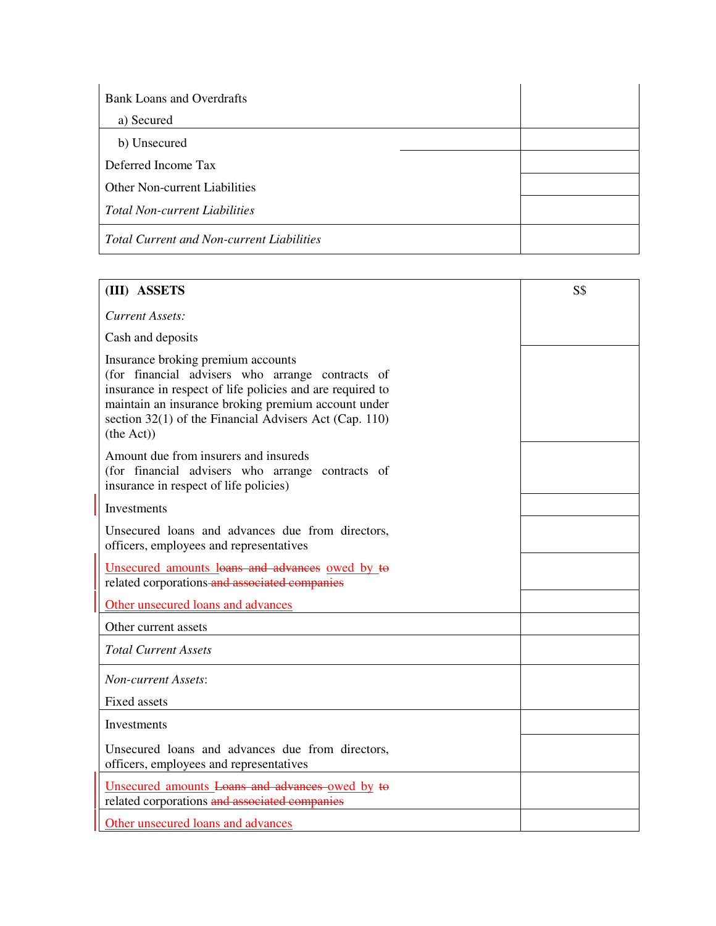| <b>Bank Loans and Overdrafts</b>                 |  |
|--------------------------------------------------|--|
| a) Secured                                       |  |
| b) Unsecured                                     |  |
| Deferred Income Tax                              |  |
| <b>Other Non-current Liabilities</b>             |  |
| <b>Total Non-current Liabilities</b>             |  |
| <b>Total Current and Non-current Liabilities</b> |  |

| (III) ASSETS                                                                                                                                                                                                                                                                       | S\$ |
|------------------------------------------------------------------------------------------------------------------------------------------------------------------------------------------------------------------------------------------------------------------------------------|-----|
| <b>Current Assets:</b>                                                                                                                                                                                                                                                             |     |
| Cash and deposits                                                                                                                                                                                                                                                                  |     |
| Insurance broking premium accounts<br>(for financial advisers who arrange contracts of<br>insurance in respect of life policies and are required to<br>maintain an insurance broking premium account under<br>section 32(1) of the Financial Advisers Act (Cap. 110)<br>(the Act)) |     |
| Amount due from insurers and insureds<br>(for financial advisers who arrange contracts of<br>insurance in respect of life policies)                                                                                                                                                |     |
| Investments                                                                                                                                                                                                                                                                        |     |
| Unsecured loans and advances due from directors,<br>officers, employees and representatives                                                                                                                                                                                        |     |
| Unsecured amounts loans and advances owed by to<br>related corporations-and associated companies                                                                                                                                                                                   |     |
| Other unsecured loans and advances                                                                                                                                                                                                                                                 |     |
| Other current assets                                                                                                                                                                                                                                                               |     |
| <b>Total Current Assets</b>                                                                                                                                                                                                                                                        |     |
| <b>Non-current Assets:</b>                                                                                                                                                                                                                                                         |     |
| <b>Fixed assets</b>                                                                                                                                                                                                                                                                |     |
| Investments                                                                                                                                                                                                                                                                        |     |
| Unsecured loans and advances due from directors,<br>officers, employees and representatives                                                                                                                                                                                        |     |
| Unsecured amounts Loans and advances owed by to<br>related corporations and associated companies                                                                                                                                                                                   |     |
| Other unsecured loans and advances                                                                                                                                                                                                                                                 |     |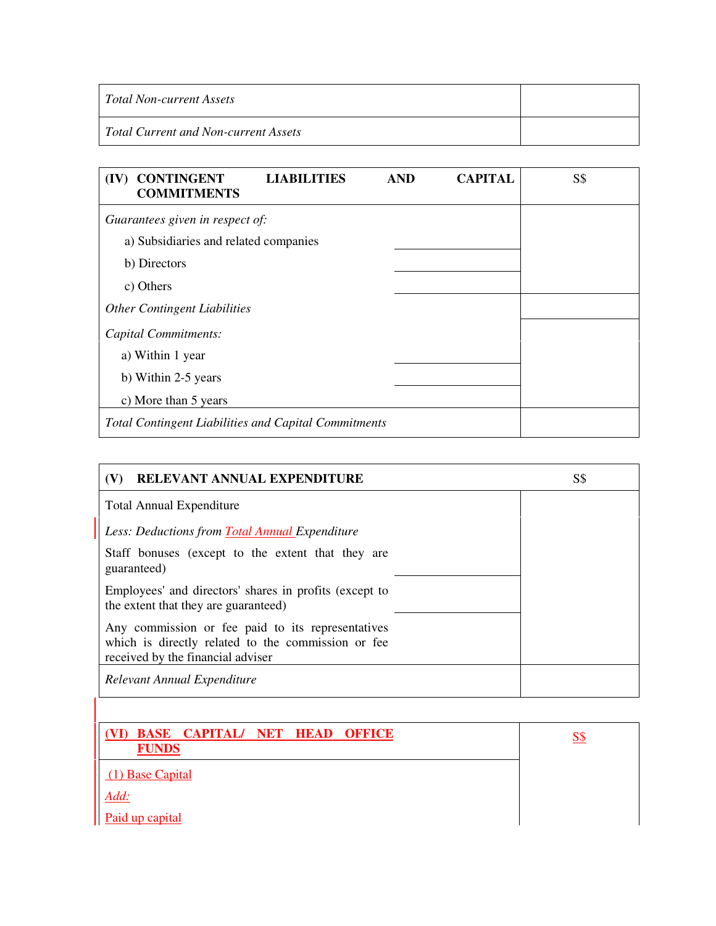| Total Non-current Assets                    |  |
|---------------------------------------------|--|
| <b>Total Current and Non-current Assets</b> |  |

| (IV) CONTINGENT<br><b>COMMITMENTS</b>                       | <b>LIABILITIES</b> | <b>AND</b> | <b>CAPITAL</b> | <b>S\$</b> |
|-------------------------------------------------------------|--------------------|------------|----------------|------------|
| Guarantees given in respect of:                             |                    |            |                |            |
| a) Subsidiaries and related companies                       |                    |            |                |            |
| b) Directors                                                |                    |            |                |            |
| c) Others                                                   |                    |            |                |            |
| <b>Other Contingent Liabilities</b>                         |                    |            |                |            |
| Capital Commitments:                                        |                    |            |                |            |
| a) Within 1 year                                            |                    |            |                |            |
| b) Within 2-5 years                                         |                    |            |                |            |
| c) More than 5 years                                        |                    |            |                |            |
| <b>Total Contingent Liabilities and Capital Commitments</b> |                    |            |                |            |

| RELEVANT ANNUAL EXPENDITURE                                                                                                                  | S\$ |
|----------------------------------------------------------------------------------------------------------------------------------------------|-----|
| <b>Total Annual Expenditure</b>                                                                                                              |     |
| Less: Deductions from Total Annual Expenditure                                                                                               |     |
| Staff bonuses (except to the extent that they are<br>guaranteed)                                                                             |     |
| Employees' and directors' shares in profits (except to<br>the extent that they are guaranteed)                                               |     |
| Any commission or fee paid to its representatives<br>which is directly related to the commission or fee<br>received by the financial adviser |     |
| Relevant Annual Expenditure                                                                                                                  |     |

| (VI) BASE CAPITAL/ NET HEAD OFFICE<br><b>FUNDS</b> | S\$ |
|----------------------------------------------------|-----|
| (1) Base Capital                                   |     |
| Add:                                               |     |
| Paid up capital                                    |     |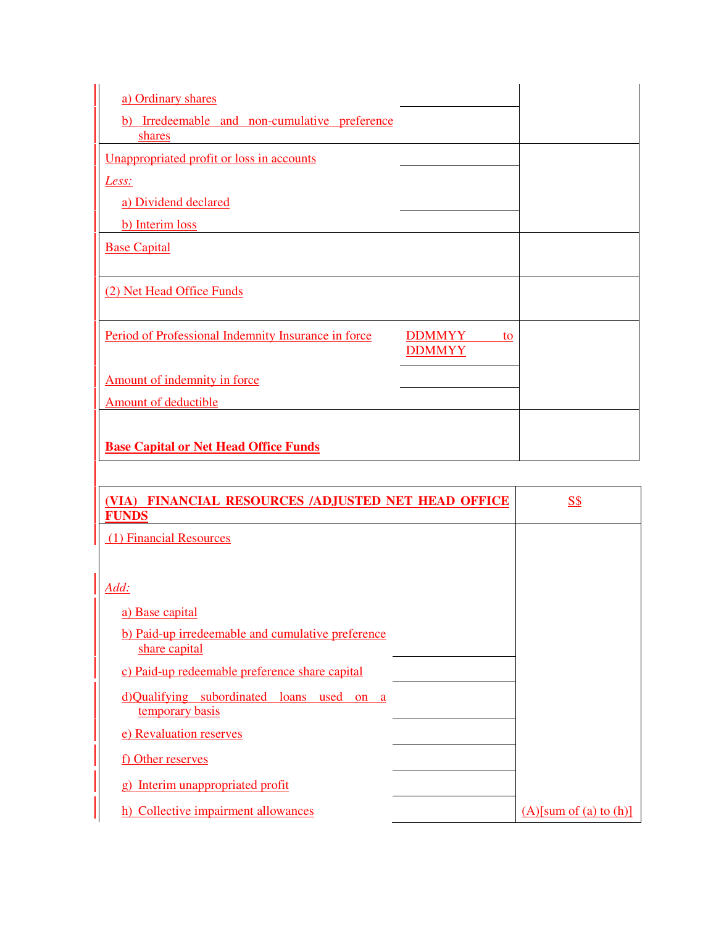| a) Ordinary shares                                                   |    |
|----------------------------------------------------------------------|----|
| b) Irredeemable and non-cumulative preference<br>shares              |    |
| Unappropriated profit or loss in accounts                            |    |
| Less:                                                                |    |
| a) Dividend declared                                                 |    |
| b) Interim loss                                                      |    |
| <b>Base Capital</b>                                                  |    |
|                                                                      |    |
| (2) Net Head Office Funds                                            |    |
|                                                                      |    |
| Period of Professional Indemnity Insurance in force<br><b>DDMMYY</b> | to |
| <b>DDMMYY</b>                                                        |    |
| Amount of indemnity in force                                         |    |
| Amount of deductible                                                 |    |
|                                                                      |    |
| <b>Base Capital or Net Head Office Funds</b>                         |    |
|                                                                      |    |

| (VIA) FINANCIAL RESOURCES /ADJUSTED NET HEAD OFFICE<br><b>FUNDS</b> | <u>S\$</u>                |
|---------------------------------------------------------------------|---------------------------|
| (1) Financial Resources                                             |                           |
|                                                                     |                           |
| Add:                                                                |                           |
| a) Base capital                                                     |                           |
| b) Paid-up irredeemable and cumulative preference<br>share capital  |                           |
| c) Paid-up redeemable preference share capital                      |                           |
| d)Qualifying subordinated loans<br>used<br>on a<br>temporary basis  |                           |
| e) Revaluation reserves                                             |                           |
| <u>f)</u> Other reserves                                            |                           |
| g) Interim unappropriated profit                                    |                           |
| h) Collective impairment allowances                                 | $(A)$ [sum of (a) to (h)] |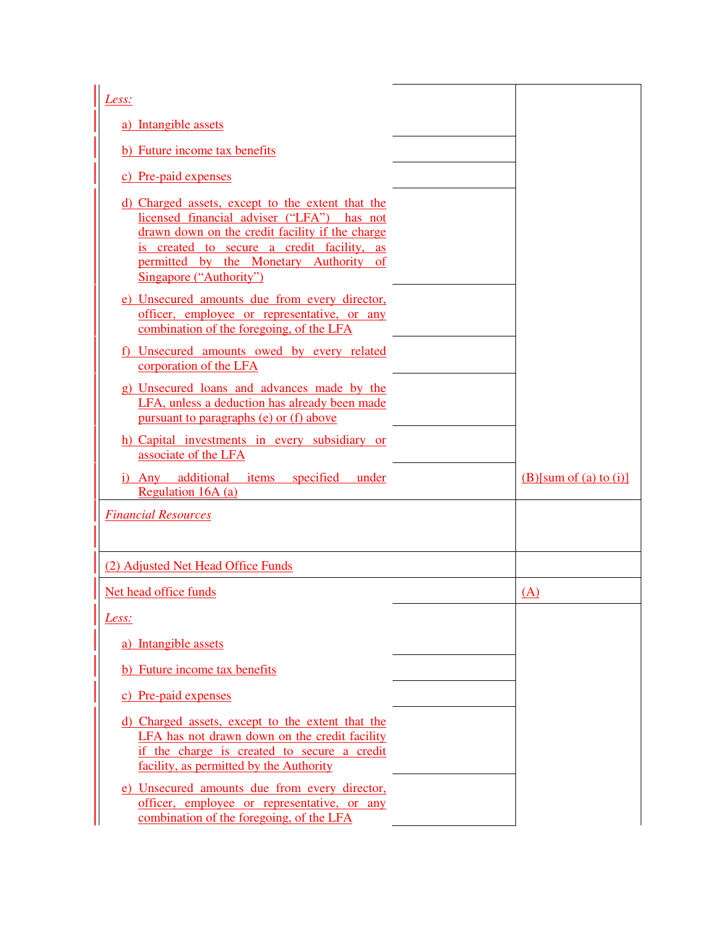| Less:                                                                                                                                                                                                                                                                |                           |
|----------------------------------------------------------------------------------------------------------------------------------------------------------------------------------------------------------------------------------------------------------------------|---------------------------|
| a) Intangible assets                                                                                                                                                                                                                                                 |                           |
| b) Future income tax benefits                                                                                                                                                                                                                                        |                           |
| c) Pre-paid expenses                                                                                                                                                                                                                                                 |                           |
| d) Charged assets, except to the extent that the<br>licensed financial adviser ("LFA") has not<br>drawn down on the credit facility if the charge<br>is created to secure a credit facility, as<br>permitted by the Monetary Authority of<br>Singapore ("Authority") |                           |
| e) Unsecured amounts due from every director,<br>officer, employee or representative, or any<br>combination of the foregoing, of the LFA                                                                                                                             |                           |
| <u>f) Unsecured amounts owed by every related</u><br>corporation of the LFA                                                                                                                                                                                          |                           |
| g) Unsecured loans and advances made by the<br>LFA, unless a deduction has already been made<br>pursuant to paragraphs (e) or (f) above                                                                                                                              |                           |
| h) Capital investments in every subsidiary or<br>associate of the LFA                                                                                                                                                                                                |                           |
| i) Any additional items<br>specified<br>under<br>Regulation 16A (a)                                                                                                                                                                                                  | $(B)$ [sum of (a) to (i)] |
| <b>Financial Resources</b>                                                                                                                                                                                                                                           |                           |
|                                                                                                                                                                                                                                                                      |                           |
| (2) Adjusted Net Head Office Funds                                                                                                                                                                                                                                   |                           |
| Net head office funds                                                                                                                                                                                                                                                | (A)                       |
|                                                                                                                                                                                                                                                                      |                           |
| Less:                                                                                                                                                                                                                                                                |                           |
| a) Intangible assets                                                                                                                                                                                                                                                 |                           |
| b) Future income tax benefits                                                                                                                                                                                                                                        |                           |
| c) Pre-paid expenses                                                                                                                                                                                                                                                 |                           |
| d) Charged assets, except to the extent that the<br>LFA has not drawn down on the credit facility<br>if the charge is created to secure a credit<br>facility, as permitted by the Authority                                                                          |                           |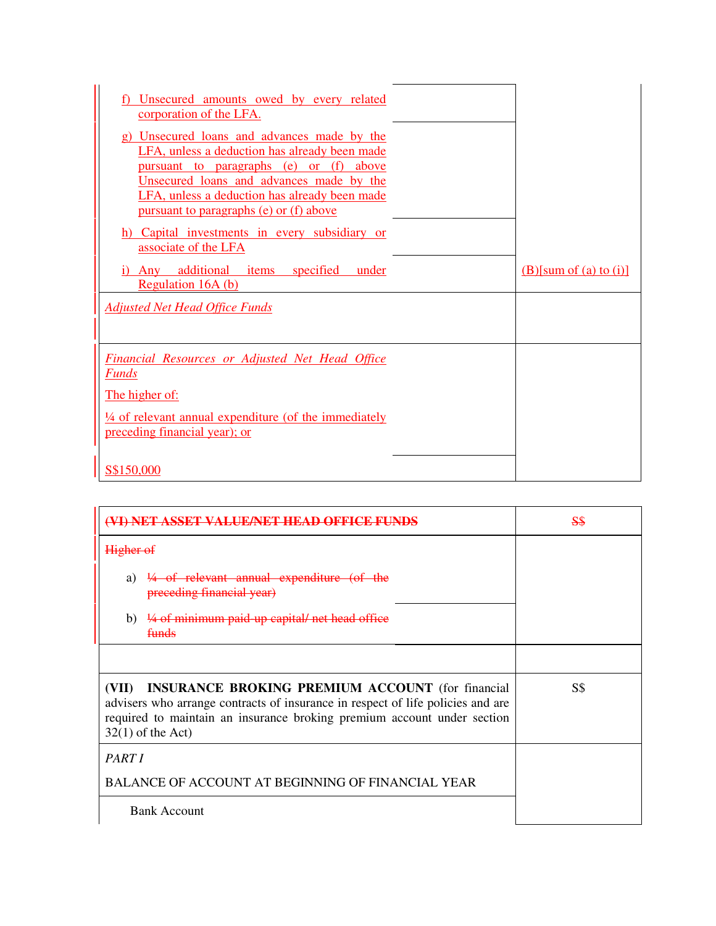| f) Unsecured amounts owed by every related<br>corporation of the LFA.                                                                                                                                                                                                           |                           |
|---------------------------------------------------------------------------------------------------------------------------------------------------------------------------------------------------------------------------------------------------------------------------------|---------------------------|
| g) Unsecured loans and advances made by the<br>LFA, unless a deduction has already been made<br>pursuant to paragraphs (e) or (f) above<br>Unsecured loans and advances made by the<br>LFA, unless a deduction has already been made<br>pursuant to paragraphs (e) or (f) above |                           |
| h) Capital investments in every subsidiary or<br>associate of the LFA                                                                                                                                                                                                           |                           |
| i) Any additional items specified<br>under<br>Regulation 16A (b)                                                                                                                                                                                                                | $(B)$ [sum of (a) to (i)] |
| <b>Adjusted Net Head Office Funds</b>                                                                                                                                                                                                                                           |                           |
| <b>Financial Resources or Adjusted Net Head Office</b><br><b>Funds</b>                                                                                                                                                                                                          |                           |
| The higher of:                                                                                                                                                                                                                                                                  |                           |
| $\frac{1}{4}$ of relevant annual expenditure (of the immediately<br>preceding financial year); or                                                                                                                                                                               |                           |
| S\$150,000                                                                                                                                                                                                                                                                      |                           |

| AL HENET HEAD OF                                                                                                                                                                                                                                      | <del>S\$</del> |
|-------------------------------------------------------------------------------------------------------------------------------------------------------------------------------------------------------------------------------------------------------|----------------|
| Higher of                                                                                                                                                                                                                                             |                |
| a) $\frac{1}{4}$ of relevant annual expenditure (of the<br>preceding financial year)                                                                                                                                                                  |                |
| 1/4 of minimum paid up capital/ net head office<br>b)<br><del>funds</del>                                                                                                                                                                             |                |
|                                                                                                                                                                                                                                                       |                |
| <b>INSURANCE BROKING PREMIUM ACCOUNT</b> (for financial<br>(VII)<br>advisers who arrange contracts of insurance in respect of life policies and are<br>required to maintain an insurance broking premium account under section<br>$32(1)$ of the Act) | S\$            |
| PART I                                                                                                                                                                                                                                                |                |
| <b>BALANCE OF ACCOUNT AT BEGINNING OF FINANCIAL YEAR</b>                                                                                                                                                                                              |                |
| <b>Bank Account</b>                                                                                                                                                                                                                                   |                |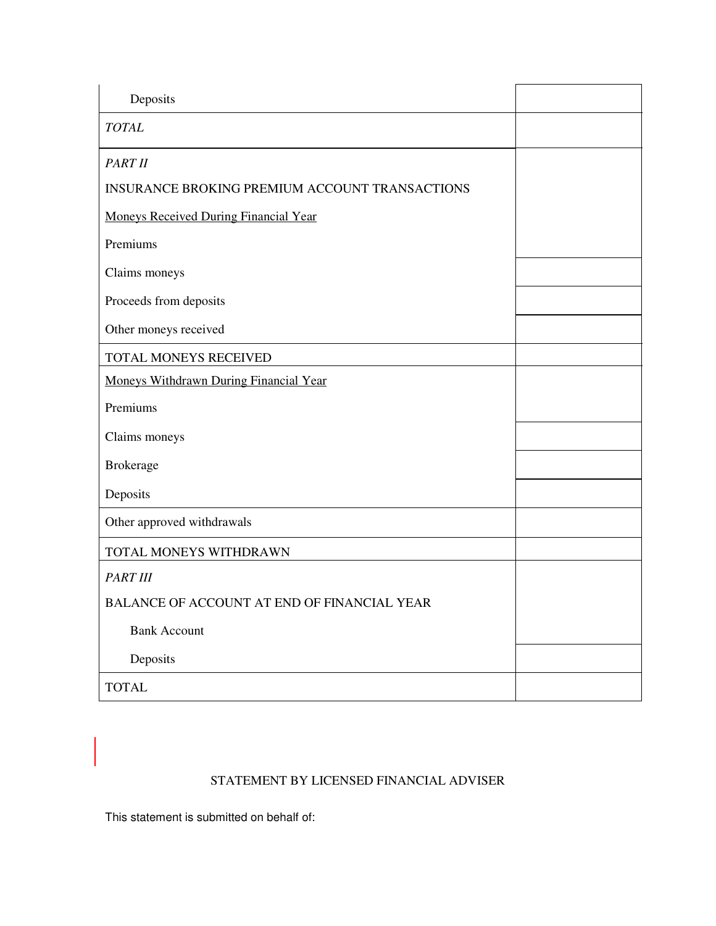| Deposits                                              |  |
|-------------------------------------------------------|--|
| <b>TOTAL</b>                                          |  |
| PART II                                               |  |
| <b>INSURANCE BROKING PREMIUM ACCOUNT TRANSACTIONS</b> |  |
| <b>Moneys Received During Financial Year</b>          |  |
| Premiums                                              |  |
| Claims moneys                                         |  |
| Proceeds from deposits                                |  |
| Other moneys received                                 |  |
| TOTAL MONEYS RECEIVED                                 |  |
| Moneys Withdrawn During Financial Year                |  |
| Premiums                                              |  |
| Claims moneys                                         |  |
| <b>Brokerage</b>                                      |  |
| Deposits                                              |  |
| Other approved withdrawals                            |  |
| TOTAL MONEYS WITHDRAWN                                |  |
| <b>PART III</b>                                       |  |
| <b>BALANCE OF ACCOUNT AT END OF FINANCIAL YEAR</b>    |  |
| <b>Bank Account</b>                                   |  |
| Deposits                                              |  |
| <b>TOTAL</b>                                          |  |

## STATEMENT BY LICENSED FINANCIAL ADVISER

This statement is submitted on behalf of:

1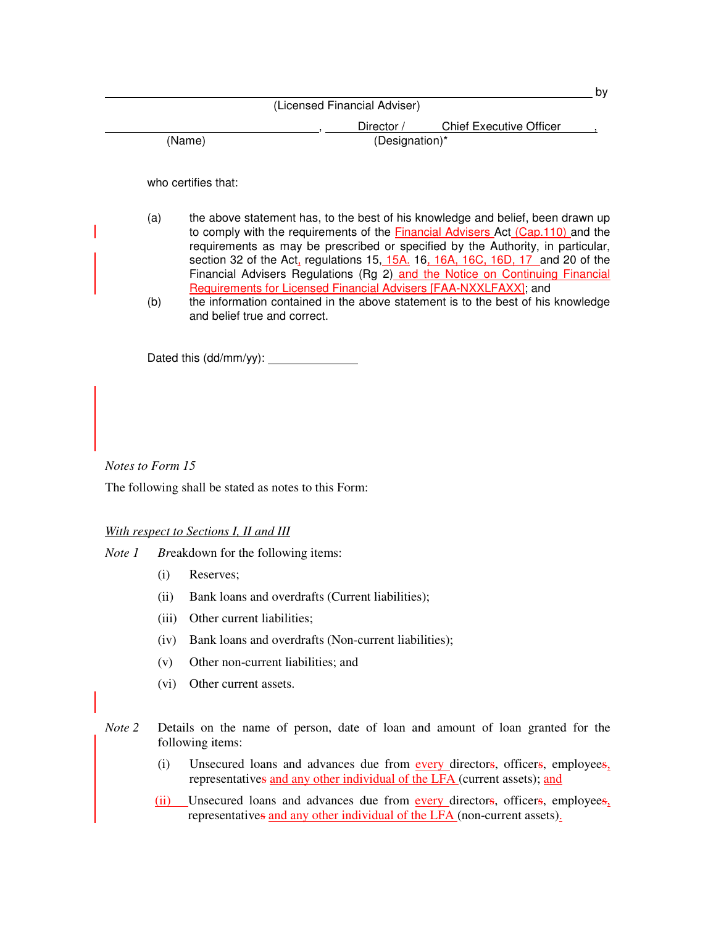|        |                              |                                | b٧ |
|--------|------------------------------|--------------------------------|----|
|        | (Licensed Financial Adviser) |                                |    |
|        | Director /                   | <b>Chief Executive Officer</b> |    |
| (Name) | (Designation)*               |                                |    |

who certifies that:

- (a) the above statement has, to the best of his knowledge and belief, been drawn up to comply with the requirements of the **Financial Advisers Act (Cap.110)** and the requirements as may be prescribed or specified by the Authority, in particular, section 32 of the Act, regulations 15, 15A. 16, 16A, 16C, 16D, 17 and 20 of the Financial Advisers Regulations (Rg 2) and the Notice on Continuing Financial Requirements for Licensed Financial Advisers [FAA-NXXLFAXX]; and
- (b) the information contained in the above statement is to the best of his knowledge and belief true and correct.

Dated this (dd/mm/yy):

*Notes to Form 15* 

The following shall be stated as notes to this Form:

*With respect to Sections I, II and III*

*Note 1 Br*eakdown for the following items:

- (i) Reserves;
- (ii) Bank loans and overdrafts (Current liabilities);
- (iii) Other current liabilities;
- (iv) Bank loans and overdrafts (Non-current liabilities);
- (v) Other non-current liabilities; and
- (vi) Other current assets.
- *Note* 2 Details on the name of person, date of loan and amount of loan granted for the following items:
	- (i) Unsecured loans and advances due from every directors, officers, employees, representatives and any other individual of the LFA (current assets); and
	- (ii) Unsecured loans and advances due from every directors, officers, employees, representatives and any other individual of the LFA (non-current assets).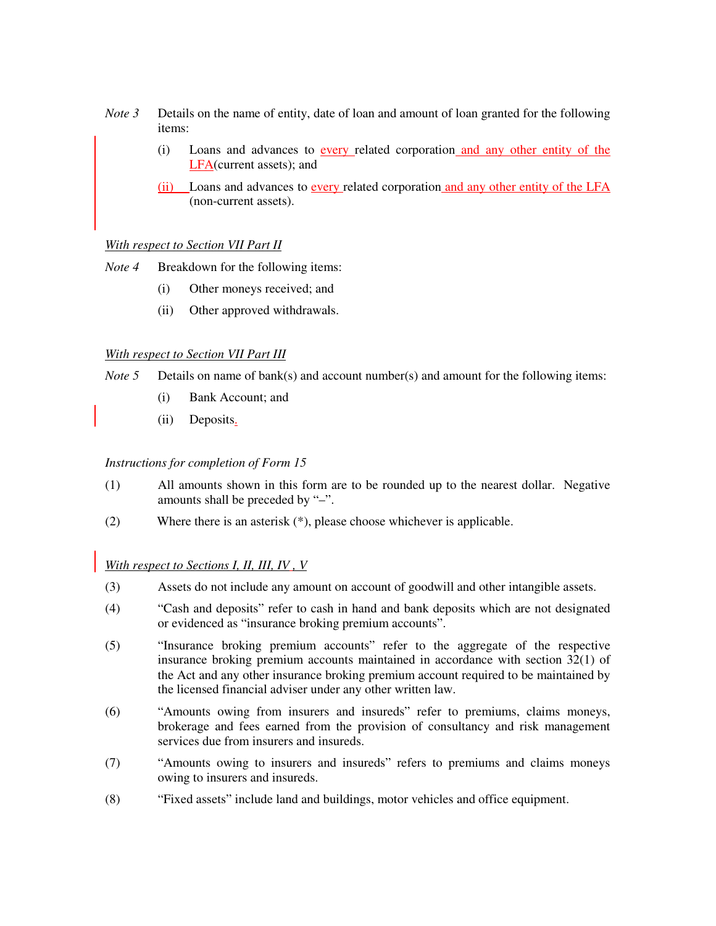- *Note 3* Details on the name of entity, date of loan and amount of loan granted for the following items:
	- (i) Loans and advances to every related corporation and any other entity of the LFA(current assets); and
	- (ii) Loans and advances to every related corporation and any other entity of the LFA (non-current assets).

## *With respect to Section VII Part II*

- *Note 4* Breakdown for the following items:
	- (i) Other moneys received; and
	- (ii) Other approved withdrawals.

## *With respect to Section VII Part III*

- *Note 5* Details on name of bank(s) and account number(s) and amount for the following items:
	- (i) Bank Account; and
	- (ii) Deposits.

*Instructions for completion of Form 15* 

- (1) All amounts shown in this form are to be rounded up to the nearest dollar. Negative amounts shall be preceded by "–".
- (2) Where there is an asterisk (\*), please choose whichever is applicable.

*With respect to Sections I, II, III, IV , V*

- (3) Assets do not include any amount on account of goodwill and other intangible assets.
- (4) "Cash and deposits" refer to cash in hand and bank deposits which are not designated or evidenced as "insurance broking premium accounts".
- (5) "Insurance broking premium accounts" refer to the aggregate of the respective insurance broking premium accounts maintained in accordance with section 32(1) of the Act and any other insurance broking premium account required to be maintained by the licensed financial adviser under any other written law.
- (6) "Amounts owing from insurers and insureds" refer to premiums, claims moneys, brokerage and fees earned from the provision of consultancy and risk management services due from insurers and insureds.
- (7) "Amounts owing to insurers and insureds" refers to premiums and claims moneys owing to insurers and insureds.
- (8) "Fixed assets" include land and buildings, motor vehicles and office equipment.